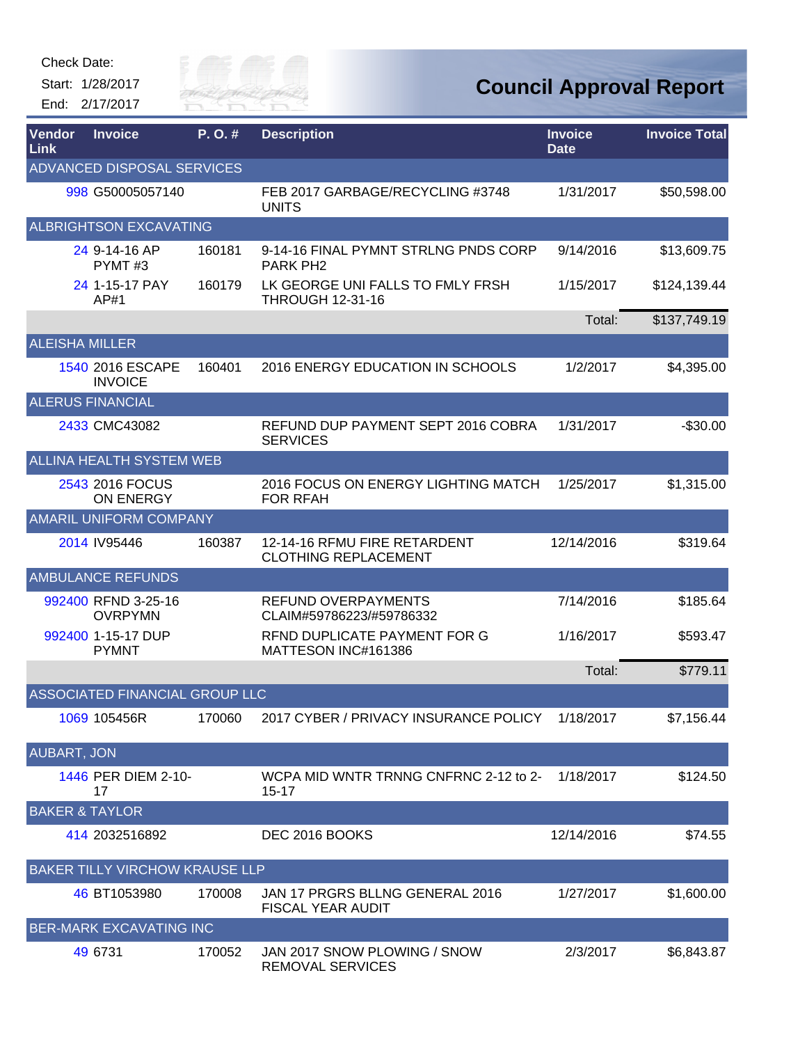

| Vendor<br>Link        | <b>Invoice</b>                        | P.O.#  | <b>Description</b>                                          | <b>Invoice</b><br><b>Date</b> | <b>Invoice Total</b> |
|-----------------------|---------------------------------------|--------|-------------------------------------------------------------|-------------------------------|----------------------|
|                       | ADVANCED DISPOSAL SERVICES            |        |                                                             |                               |                      |
|                       | 998 G50005057140                      |        | FEB 2017 GARBAGE/RECYCLING #3748<br><b>UNITS</b>            | 1/31/2017                     | \$50,598.00          |
|                       | ALBRIGHTSON EXCAVATING                |        |                                                             |                               |                      |
|                       | 24 9-14-16 AP<br>PYMT#3               | 160181 | 9-14-16 FINAL PYMNT STRLNG PNDS CORP<br><b>PARK PH2</b>     | 9/14/2016                     | \$13,609.75          |
|                       | 24 1-15-17 PAY<br>AP#1                | 160179 | LK GEORGE UNI FALLS TO FMLY FRSH<br><b>THROUGH 12-31-16</b> | 1/15/2017                     | \$124,139.44         |
|                       |                                       |        |                                                             | Total:                        | \$137,749.19         |
| <b>ALEISHA MILLER</b> |                                       |        |                                                             |                               |                      |
|                       | 1540 2016 ESCAPE<br><b>INVOICE</b>    | 160401 | 2016 ENERGY EDUCATION IN SCHOOLS                            | 1/2/2017                      | \$4,395.00           |
|                       | <b>ALERUS FINANCIAL</b>               |        |                                                             |                               |                      |
|                       | 2433 CMC43082                         |        | REFUND DUP PAYMENT SEPT 2016 COBRA<br><b>SERVICES</b>       | 1/31/2017                     | $-$30.00$            |
|                       | <b>ALLINA HEALTH SYSTEM WEB</b>       |        |                                                             |                               |                      |
|                       | 2543 2016 FOCUS<br>ON ENERGY          |        | 2016 FOCUS ON ENERGY LIGHTING MATCH<br><b>FOR RFAH</b>      | 1/25/2017                     | \$1,315.00           |
|                       | <b>AMARIL UNIFORM COMPANY</b>         |        |                                                             |                               |                      |
|                       | 2014 IV95446                          | 160387 | 12-14-16 RFMU FIRE RETARDENT<br><b>CLOTHING REPLACEMENT</b> | 12/14/2016                    | \$319.64             |
|                       | <b>AMBULANCE REFUNDS</b>              |        |                                                             |                               |                      |
|                       | 992400 RFND 3-25-16<br><b>OVRPYMN</b> |        | REFUND OVERPAYMENTS<br>CLAIM#59786223/#59786332             | 7/14/2016                     | \$185.64             |
|                       | 992400 1-15-17 DUP<br><b>PYMNT</b>    |        | RFND DUPLICATE PAYMENT FOR G<br>MATTESON INC#161386         | 1/16/2017                     | \$593.47             |
|                       |                                       |        |                                                             | Total:                        | \$779.11             |
|                       | ASSOCIATED FINANCIAL GROUP LLC        |        |                                                             |                               |                      |
|                       | 1069 105456R                          | 170060 | 2017 CYBER / PRIVACY INSURANCE POLICY                       | 1/18/2017                     | \$7,156.44           |
| <b>AUBART, JON</b>    |                                       |        |                                                             |                               |                      |
|                       | 1446 PER DIEM 2-10-<br>17             |        | WCPA MID WNTR TRNNG CNFRNC 2-12 to 2-<br>$15 - 17$          | 1/18/2017                     | \$124.50             |
|                       | <b>BAKER &amp; TAYLOR</b>             |        |                                                             |                               |                      |
|                       | 414 2032516892                        |        | DEC 2016 BOOKS                                              | 12/14/2016                    | \$74.55              |
|                       | BAKER TILLY VIRCHOW KRAUSE LLP        |        |                                                             |                               |                      |
|                       | 46 BT1053980                          | 170008 | JAN 17 PRGRS BLLNG GENERAL 2016<br><b>FISCAL YEAR AUDIT</b> | 1/27/2017                     | \$1,600.00           |
|                       | BER-MARK EXCAVATING INC               |        |                                                             |                               |                      |
|                       | 49 6731                               | 170052 | JAN 2017 SNOW PLOWING / SNOW<br>REMOVAL SERVICES            | 2/3/2017                      | \$6,843.87           |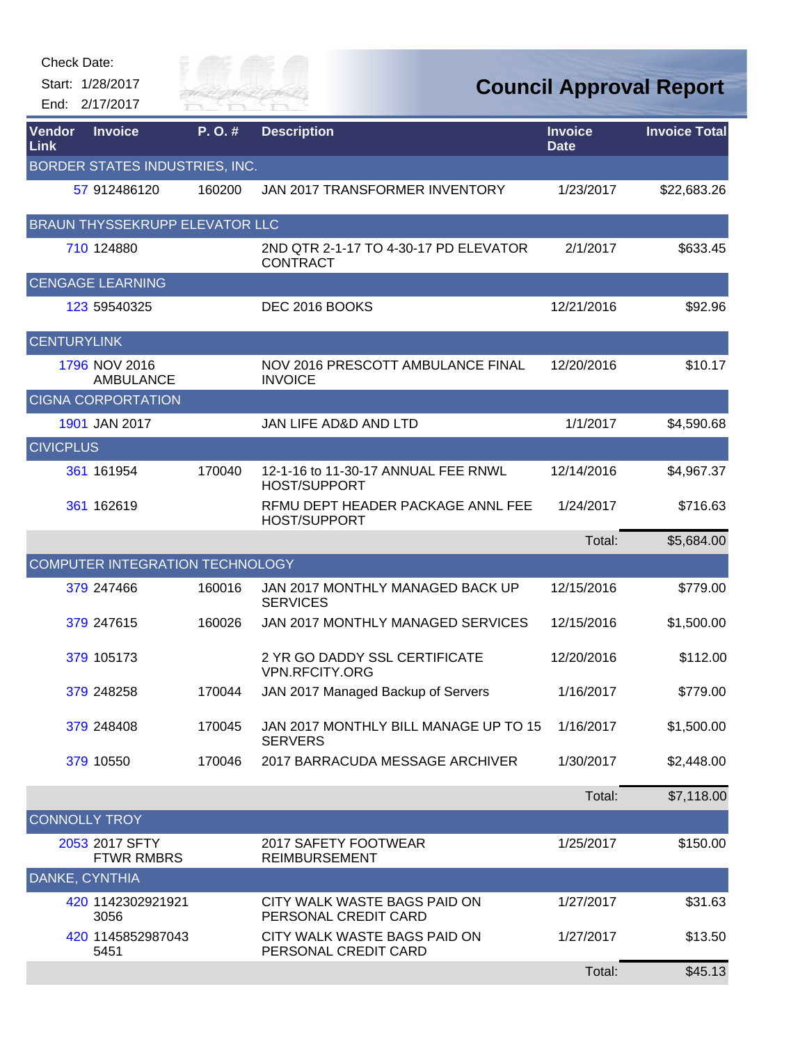| <b>Check Date:</b>                 |                   |                      |                                                            |                               |                                |
|------------------------------------|-------------------|----------------------|------------------------------------------------------------|-------------------------------|--------------------------------|
| Start: 1/28/2017<br>End: 2/17/2017 |                   | City of<br>RIVER FAI |                                                            |                               | <b>Council Approval Report</b> |
| Vendor<br>Link                     | <b>Invoice</b>    | P.O.#                | <b>Description</b>                                         | <b>Invoice</b><br><b>Date</b> | <b>Invoice Total</b>           |
| BORDER STATES INDUSTRIES, INC.     |                   |                      |                                                            |                               |                                |
|                                    | 57 912486120      | 160200               | JAN 2017 TRANSFORMER INVENTORY                             | 1/23/2017                     | \$22,683.26                    |
| BRAUN THYSSEKRUPP ELEVATOR LLC     |                   |                      |                                                            |                               |                                |
| 710 124880                         |                   |                      | 2ND QTR 2-1-17 TO 4-30-17 PD ELEVATOR<br><b>CONTRACT</b>   | 2/1/2017                      | \$633.45                       |
| <b>CENGAGE LEARNING</b>            |                   |                      |                                                            |                               |                                |
| 123 59540325                       |                   |                      | DEC 2016 BOOKS                                             | 12/21/2016                    | \$92.96                        |
| <b>CENTURYLINK</b>                 |                   |                      |                                                            |                               |                                |
| 1796 NOV 2016                      | <b>AMBULANCE</b>  |                      | NOV 2016 PRESCOTT AMBULANCE FINAL<br><b>INVOICE</b>        | 12/20/2016                    | \$10.17                        |
| <b>CIGNA CORPORTATION</b>          |                   |                      |                                                            |                               |                                |
| 1901 JAN 2017                      |                   |                      | <b>JAN LIFE AD&amp;D AND LTD</b>                           | 1/1/2017                      | \$4,590.68                     |
| <b>CIVICPLUS</b>                   |                   |                      |                                                            |                               |                                |
| 361 161954                         |                   | 170040               | 12-1-16 to 11-30-17 ANNUAL FEE RNWL<br><b>HOST/SUPPORT</b> | 12/14/2016                    | \$4,967.37                     |
| 361 162619                         |                   |                      | RFMU DEPT HEADER PACKAGE ANNL FEE<br><b>HOST/SUPPORT</b>   | 1/24/2017                     | \$716.63                       |
|                                    |                   |                      |                                                            | Total:                        | \$5,684.00                     |
| COMPUTER INTEGRATION TECHNOLOGY    |                   |                      |                                                            |                               |                                |
| 379 247466                         |                   | 160016               | JAN 2017 MONTHLY MANAGED BACK UP<br><b>SERVICES</b>        | 12/15/2016                    | \$779.00                       |
| 379 247615                         |                   | 160026               | JAN 2017 MONTHLY MANAGED SERVICES                          | 12/15/2016                    | \$1,500.00                     |
| 379 105173                         |                   |                      | 2 YR GO DADDY SSL CERTIFICATE<br>VPN.RFCITY.ORG            | 12/20/2016                    | \$112.00                       |
| 379 248258                         |                   | 170044               | JAN 2017 Managed Backup of Servers                         | 1/16/2017                     | \$779.00                       |
| 379 248408                         |                   | 170045               | JAN 2017 MONTHLY BILL MANAGE UP TO 15<br><b>SERVERS</b>    | 1/16/2017                     | \$1,500.00                     |
| 379 10550                          |                   | 170046               | 2017 BARRACUDA MESSAGE ARCHIVER                            | 1/30/2017                     | \$2,448.00                     |
|                                    |                   |                      |                                                            | Total:                        | \$7,118.00                     |
| <b>CONNOLLY TROY</b>               |                   |                      |                                                            |                               |                                |
| 2053 2017 SFTY                     | <b>FTWR RMBRS</b> |                      | 2017 SAFETY FOOTWEAR<br><b>REIMBURSEMENT</b>               | 1/25/2017                     | \$150.00                       |
| DANKE, CYNTHIA                     |                   |                      |                                                            |                               |                                |
| 3056                               | 420 1142302921921 |                      | CITY WALK WASTE BAGS PAID ON<br>PERSONAL CREDIT CARD       | 1/27/2017                     | \$31.63                        |
| 5451                               | 420 1145852987043 |                      | CITY WALK WASTE BAGS PAID ON<br>PERSONAL CREDIT CARD       | 1/27/2017                     | \$13.50                        |
|                                    |                   |                      |                                                            | Total:                        | \$45.13                        |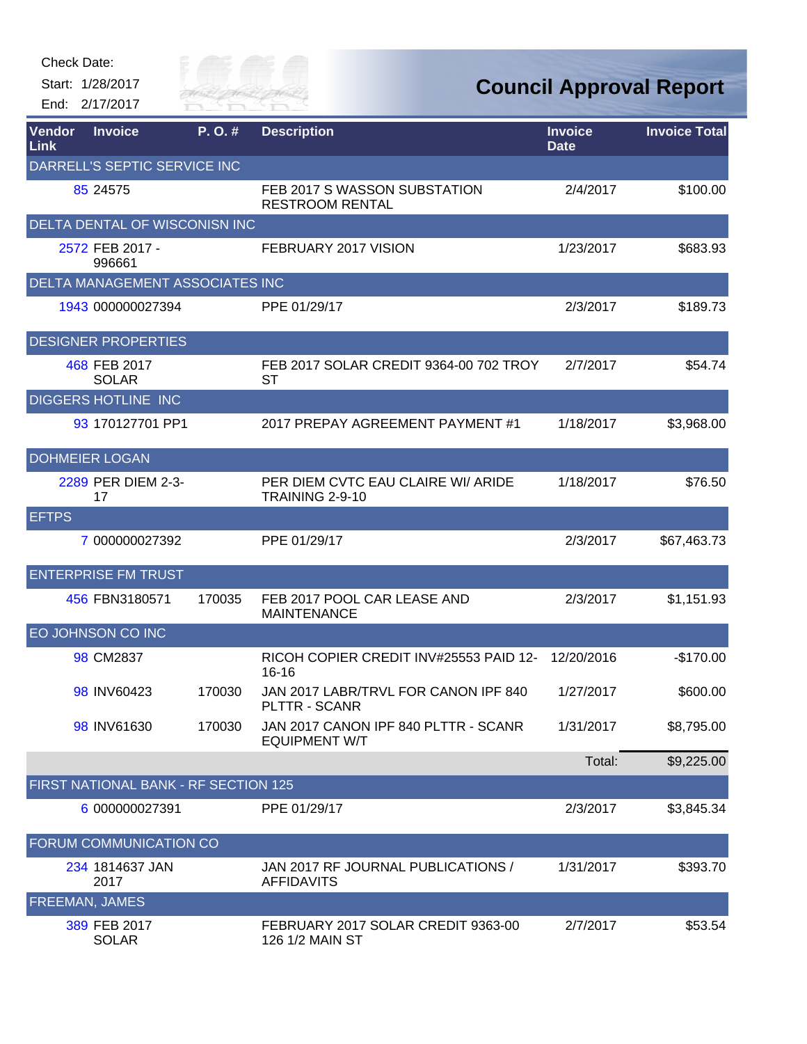| Check Date:    |                                      |                      |                                                              |                               |                                |
|----------------|--------------------------------------|----------------------|--------------------------------------------------------------|-------------------------------|--------------------------------|
|                | Start: 1/28/2017<br>End: 2/17/2017   | City of<br>RIVER FAI |                                                              |                               | <b>Council Approval Report</b> |
| Vendor<br>Link | <b>Invoice</b>                       | P.O.#                | <b>Description</b>                                           | <b>Invoice</b><br><b>Date</b> | <b>Invoice Total</b>           |
|                | DARRELL'S SEPTIC SERVICE INC         |                      |                                                              |                               |                                |
|                | 85 24575                             |                      | FEB 2017 S WASSON SUBSTATION<br><b>RESTROOM RENTAL</b>       | 2/4/2017                      | \$100.00                       |
|                | DELTA DENTAL OF WISCONISN INC        |                      |                                                              |                               |                                |
|                | 2572 FEB 2017 -<br>996661            |                      | FEBRUARY 2017 VISION                                         | 1/23/2017                     | \$683.93                       |
|                | DELTA MANAGEMENT ASSOCIATES INC      |                      |                                                              |                               |                                |
|                | 1943 000000027394                    |                      | PPE 01/29/17                                                 | 2/3/2017                      | \$189.73                       |
|                | <b>DESIGNER PROPERTIES</b>           |                      |                                                              |                               |                                |
|                | 468 FEB 2017<br><b>SOLAR</b>         |                      | FEB 2017 SOLAR CREDIT 9364-00 702 TROY<br><b>ST</b>          | 2/7/2017                      | \$54.74                        |
|                | <b>DIGGERS HOTLINE INC</b>           |                      |                                                              |                               |                                |
|                | 93 170127701 PP1                     |                      | 2017 PREPAY AGREEMENT PAYMENT #1                             | 1/18/2017                     | \$3,968.00                     |
|                | <b>DOHMEIER LOGAN</b>                |                      |                                                              |                               |                                |
|                | 2289 PER DIEM 2-3-<br>17             |                      | PER DIEM CVTC EAU CLAIRE WI/ ARIDE<br>TRAINING 2-9-10        | 1/18/2017                     | \$76.50                        |
| <b>EFTPS</b>   |                                      |                      |                                                              |                               |                                |
|                | 7 000000027392                       |                      | PPE 01/29/17                                                 | 2/3/2017                      | \$67,463.73                    |
|                | <b>ENTERPRISE FM TRUST</b>           |                      |                                                              |                               |                                |
|                | 456 FBN3180571                       | 170035               | FEB 2017 POOL CAR LEASE AND<br><b>MAINTENANCE</b>            | 2/3/2017                      | \$1,151.93                     |
|                | EO JOHNSON CO INC                    |                      |                                                              |                               |                                |
|                | 98 CM2837                            |                      | RICOH COPIER CREDIT INV#25553 PAID 12-<br>$16 - 16$          | 12/20/2016                    | $-$170.00$                     |
|                | 98 INV60423                          | 170030               | JAN 2017 LABR/TRVL FOR CANON IPF 840<br>PLTTR - SCANR        | 1/27/2017                     | \$600.00                       |
|                | 98 INV61630                          | 170030               | JAN 2017 CANON IPF 840 PLTTR - SCANR<br><b>EQUIPMENT W/T</b> | 1/31/2017                     | \$8,795.00                     |
|                |                                      |                      |                                                              | Total:                        | \$9,225.00                     |
|                | FIRST NATIONAL BANK - RF SECTION 125 |                      |                                                              |                               |                                |
|                | 6 000000027391                       |                      | PPE 01/29/17                                                 | 2/3/2017                      | \$3,845.34                     |
|                | FORUM COMMUNICATION CO               |                      |                                                              |                               |                                |
|                | 234 1814637 JAN<br>2017              |                      | JAN 2017 RF JOURNAL PUBLICATIONS /<br><b>AFFIDAVITS</b>      | 1/31/2017                     | \$393.70                       |
|                | <b>FREEMAN, JAMES</b>                |                      |                                                              |                               |                                |
|                | 389 FEB 2017<br><b>SOLAR</b>         |                      | FEBRUARY 2017 SOLAR CREDIT 9363-00<br>126 1/2 MAIN ST        | 2/7/2017                      | \$53.54                        |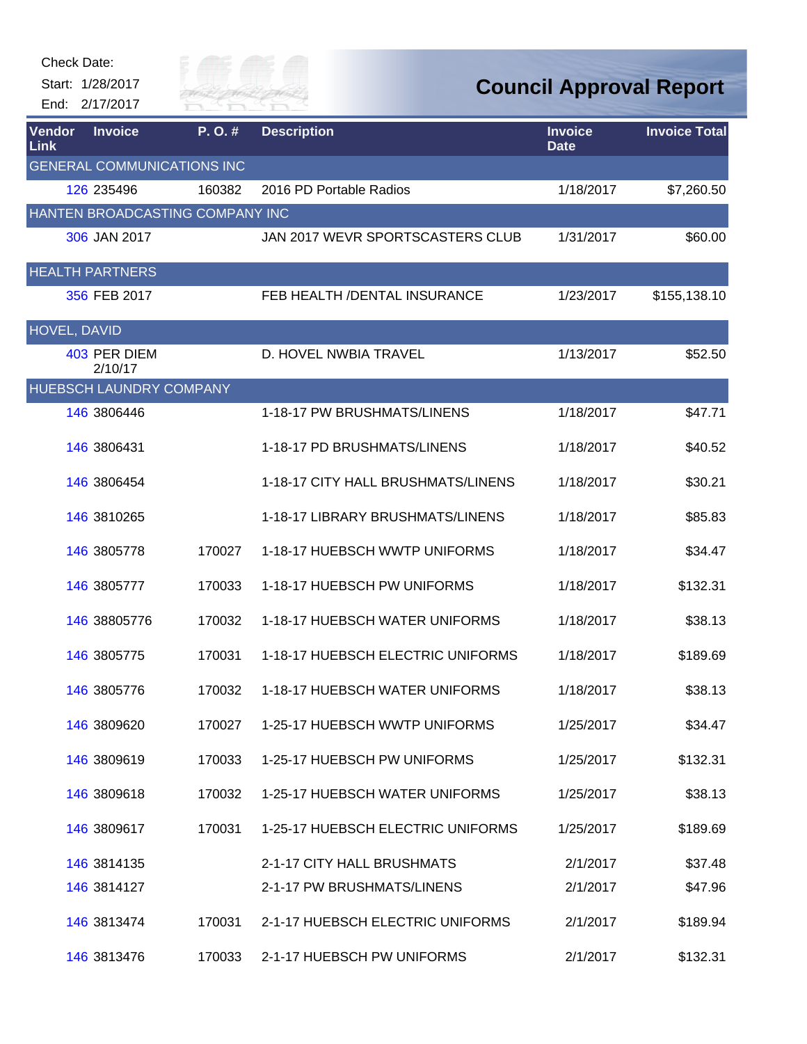| <b>Check Date:</b> | Start: 1/28/2017<br>End: 2/17/2017 | City of<br>KIVER FAI              |                                    | <b>Council Approval Report</b> |                      |
|--------------------|------------------------------------|-----------------------------------|------------------------------------|--------------------------------|----------------------|
| Vendor<br>Link     | <b>Invoice</b>                     | P.O.#                             | <b>Description</b>                 | <b>Invoice</b><br><b>Date</b>  | <b>Invoice Total</b> |
|                    |                                    | <b>GENERAL COMMUNICATIONS INC</b> |                                    |                                |                      |
|                    | 126 235496                         | 160382                            | 2016 PD Portable Radios            | 1/18/2017                      | \$7,260.50           |
|                    |                                    | HANTEN BROADCASTING COMPANY INC   |                                    |                                |                      |
|                    | 306 JAN 2017                       |                                   | JAN 2017 WEVR SPORTSCASTERS CLUB   | 1/31/2017                      | \$60.00              |
|                    | <b>HEALTH PARTNERS</b>             |                                   |                                    |                                |                      |
|                    | 356 FEB 2017                       |                                   | FEB HEALTH / DENTAL INSURANCE      | 1/23/2017                      | \$155,138.10         |
| HOVEL, DAVID       |                                    |                                   |                                    |                                |                      |
|                    | 403 PER DIEM<br>2/10/17            |                                   | D. HOVEL NWBIA TRAVEL              | 1/13/2017                      | \$52.50              |
|                    | HUEBSCH LAUNDRY COMPANY            |                                   |                                    |                                |                      |
|                    | 146 3806446                        |                                   | 1-18-17 PW BRUSHMATS/LINENS        | 1/18/2017                      | \$47.71              |
|                    | 146 3806431                        |                                   | 1-18-17 PD BRUSHMATS/LINENS        | 1/18/2017                      | \$40.52              |
|                    | 146 3806454                        |                                   | 1-18-17 CITY HALL BRUSHMATS/LINENS | 1/18/2017                      | \$30.21              |
|                    | 146 3810265                        |                                   | 1-18-17 LIBRARY BRUSHMATS/LINENS   | 1/18/2017                      | \$85.83              |
|                    | 146 3805778                        | 170027                            | 1-18-17 HUEBSCH WWTP UNIFORMS      | 1/18/2017                      | \$34.47              |
|                    | 146 3805777                        | 170033                            | 1-18-17 HUEBSCH PW UNIFORMS        | 1/18/2017                      | \$132.31             |
|                    | 146 38805776                       | 170032                            | 1-18-17 HUEBSCH WATER UNIFORMS     | 1/18/2017                      | \$38.13              |
|                    | 146 3805775                        | 170031                            | 1-18-17 HUEBSCH ELECTRIC UNIFORMS  | 1/18/2017                      | \$189.69             |
|                    | 146 3805776                        | 170032                            | 1-18-17 HUEBSCH WATER UNIFORMS     | 1/18/2017                      | \$38.13              |
|                    | 146 3809620                        | 170027                            | 1-25-17 HUEBSCH WWTP UNIFORMS      | 1/25/2017                      | \$34.47              |
|                    | 146 3809619                        | 170033                            | 1-25-17 HUEBSCH PW UNIFORMS        | 1/25/2017                      | \$132.31             |
|                    | 146 3809618                        | 170032                            | 1-25-17 HUEBSCH WATER UNIFORMS     | 1/25/2017                      | \$38.13              |
|                    | 146 3809617                        | 170031                            | 1-25-17 HUEBSCH ELECTRIC UNIFORMS  | 1/25/2017                      | \$189.69             |
|                    | 146 3814135                        |                                   | 2-1-17 CITY HALL BRUSHMATS         | 2/1/2017                       | \$37.48              |
|                    | 146 3814127                        |                                   | 2-1-17 PW BRUSHMATS/LINENS         | 2/1/2017                       | \$47.96              |
|                    | 146 3813474                        | 170031                            | 2-1-17 HUEBSCH ELECTRIC UNIFORMS   | 2/1/2017                       | \$189.94             |
|                    | 146 3813476                        | 170033                            | 2-1-17 HUEBSCH PW UNIFORMS         | 2/1/2017                       | \$132.31             |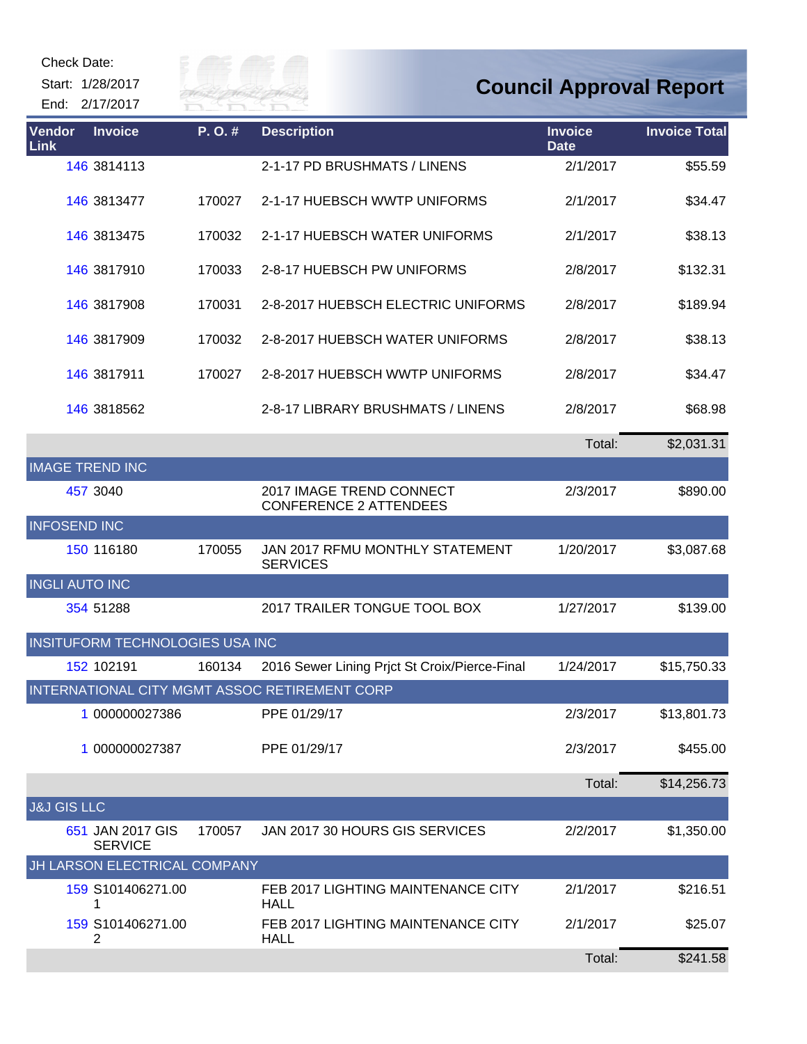| End:                   | Check Date:<br>Start: 1/28/2017<br>2/17/2017 | City of<br>KIVER FAI |                                                           |                               | <b>Council Approval Report</b> |
|------------------------|----------------------------------------------|----------------------|-----------------------------------------------------------|-------------------------------|--------------------------------|
| Vendor<br>Link         | <b>Invoice</b>                               | P. O. #              | <b>Description</b>                                        | <b>Invoice</b><br><b>Date</b> | <b>Invoice Total</b>           |
|                        | 146 3814113                                  |                      | 2-1-17 PD BRUSHMATS / LINENS                              | 2/1/2017                      | \$55.59                        |
|                        | 146 3813477                                  | 170027               | 2-1-17 HUEBSCH WWTP UNIFORMS                              | 2/1/2017                      | \$34.47                        |
|                        | 146 3813475                                  | 170032               | 2-1-17 HUEBSCH WATER UNIFORMS                             | 2/1/2017                      | \$38.13                        |
|                        | 146 3817910                                  | 170033               | 2-8-17 HUEBSCH PW UNIFORMS                                | 2/8/2017                      | \$132.31                       |
|                        | 146 3817908                                  | 170031               | 2-8-2017 HUEBSCH ELECTRIC UNIFORMS                        | 2/8/2017                      | \$189.94                       |
|                        | 146 3817909                                  | 170032               | 2-8-2017 HUEBSCH WATER UNIFORMS                           | 2/8/2017                      | \$38.13                        |
|                        | 146 3817911                                  | 170027               | 2-8-2017 HUEBSCH WWTP UNIFORMS                            | 2/8/2017                      | \$34.47                        |
|                        | 146 3818562                                  |                      | 2-8-17 LIBRARY BRUSHMATS / LINENS                         | 2/8/2017                      | \$68.98                        |
|                        |                                              |                      |                                                           | Total:                        | \$2,031.31                     |
|                        | <b>IMAGE TREND INC</b>                       |                      |                                                           |                               |                                |
|                        | 457 3040                                     |                      | 2017 IMAGE TREND CONNECT<br><b>CONFERENCE 2 ATTENDEES</b> | 2/3/2017                      | \$890.00                       |
|                        | <b>INFOSEND INC</b>                          |                      |                                                           |                               |                                |
|                        | 150 116180                                   | 170055               | JAN 2017 RFMU MONTHLY STATEMENT<br><b>SERVICES</b>        | 1/20/2017                     | \$3,087.68                     |
|                        | <b>INGLI AUTO INC</b>                        |                      |                                                           |                               |                                |
|                        | 354 51288                                    |                      | 2017 TRAILER TONGUE TOOL BOX                              | 1/27/2017                     | \$139.00                       |
|                        | INSITUFORM TECHNOLOGIES USA INC              |                      |                                                           |                               |                                |
|                        | 152 102191                                   | 160134               | 2016 Sewer Lining Prjct St Croix/Pierce-Final             | 1/24/2017                     | \$15,750.33                    |
|                        |                                              |                      | INTERNATIONAL CITY MGMT ASSOC RETIREMENT CORP             |                               |                                |
|                        | 1 000000027386                               |                      | PPE 01/29/17                                              | 2/3/2017                      | \$13,801.73                    |
|                        | 1 000000027387                               |                      | PPE 01/29/17                                              | 2/3/2017                      | \$455.00                       |
|                        |                                              |                      |                                                           | Total:                        | \$14,256.73                    |
| <b>J&amp;J GIS LLC</b> |                                              |                      |                                                           |                               |                                |
|                        | 651 JAN 2017 GIS<br><b>SERVICE</b>           | 170057               | JAN 2017 30 HOURS GIS SERVICES                            | 2/2/2017                      | \$1,350.00                     |
|                        | JH LARSON ELECTRICAL COMPANY                 |                      |                                                           |                               |                                |
|                        | 159 S101406271.00                            |                      | FEB 2017 LIGHTING MAINTENANCE CITY<br><b>HALL</b>         | 2/1/2017                      | \$216.51                       |
|                        | 159 S101406271.00<br>2                       |                      | FEB 2017 LIGHTING MAINTENANCE CITY<br><b>HALL</b>         | 2/1/2017                      | \$25.07                        |
|                        |                                              |                      |                                                           | Total:                        | \$241.58                       |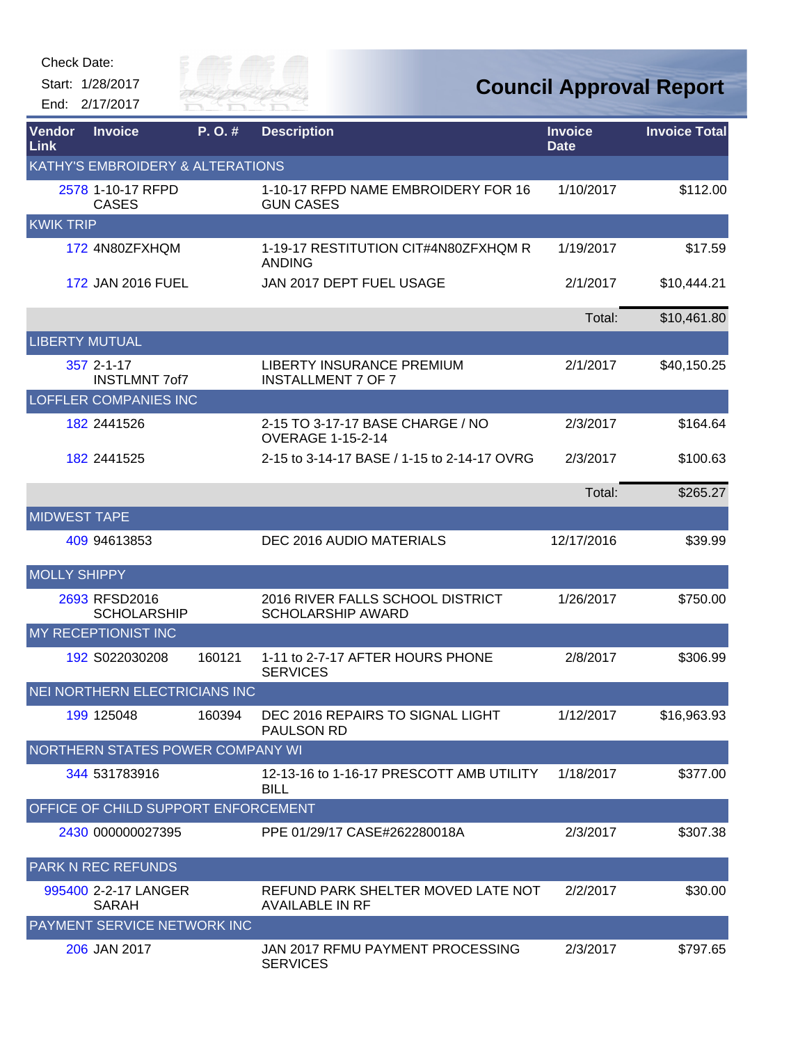Start: 1/28/2017 End: 2/17/2017



## **Council Approval Report**

| Vendor<br><b>Link</b> | <b>Invoice</b>                       | P.O.#  | <b>Description</b>                                            | <b>Invoice</b><br><b>Date</b> | <b>Invoice Total</b> |
|-----------------------|--------------------------------------|--------|---------------------------------------------------------------|-------------------------------|----------------------|
|                       | KATHY'S EMBROIDERY & ALTERATIONS     |        |                                                               |                               |                      |
|                       | 2578 1-10-17 RFPD<br><b>CASES</b>    |        | 1-10-17 RFPD NAME EMBROIDERY FOR 16<br><b>GUN CASES</b>       | 1/10/2017                     | \$112.00             |
| <b>KWIK TRIP</b>      |                                      |        |                                                               |                               |                      |
|                       | 172 4N80ZFXHQM                       |        | 1-19-17 RESTITUTION CIT#4N80ZFXHQM R<br><b>ANDING</b>         | 1/19/2017                     | \$17.59              |
|                       | 172 JAN 2016 FUEL                    |        | JAN 2017 DEPT FUEL USAGE                                      | 2/1/2017                      | \$10,444.21          |
|                       |                                      |        |                                                               | Total:                        | \$10,461.80          |
| <b>LIBERTY MUTUAL</b> |                                      |        |                                                               |                               |                      |
|                       | 357 2-1-17<br><b>INSTLMNT 7of7</b>   |        | <b>LIBERTY INSURANCE PREMIUM</b><br><b>INSTALLMENT 7 OF 7</b> | 2/1/2017                      | \$40,150.25          |
|                       | <b>LOFFLER COMPANIES INC</b>         |        |                                                               |                               |                      |
|                       | 182 2441526                          |        | 2-15 TO 3-17-17 BASE CHARGE / NO<br><b>OVERAGE 1-15-2-14</b>  | 2/3/2017                      | \$164.64             |
|                       | 182 2441525                          |        | 2-15 to 3-14-17 BASE / 1-15 to 2-14-17 OVRG                   | 2/3/2017                      | \$100.63             |
|                       |                                      |        |                                                               | Total:                        | \$265.27             |
| <b>MIDWEST TAPE</b>   |                                      |        |                                                               |                               |                      |
|                       | 409 94613853                         |        | DEC 2016 AUDIO MATERIALS                                      | 12/17/2016                    | \$39.99              |
| <b>MOLLY SHIPPY</b>   |                                      |        |                                                               |                               |                      |
|                       | 2693 RFSD2016<br><b>SCHOLARSHIP</b>  |        | 2016 RIVER FALLS SCHOOL DISTRICT<br><b>SCHOLARSHIP AWARD</b>  | 1/26/2017                     | \$750.00             |
|                       | MY RECEPTIONIST INC                  |        |                                                               |                               |                      |
|                       | 192 S022030208                       | 160121 | 1-11 to 2-7-17 AFTER HOURS PHONE<br><b>SERVICES</b>           | 2/8/2017                      | \$306.99             |
|                       | NEI NORTHERN ELECTRICIANS INC        |        |                                                               |                               |                      |
|                       | 199 125048                           | 160394 | DEC 2016 REPAIRS TO SIGNAL LIGHT<br>PAULSON RD                | 1/12/2017                     | \$16,963.93          |
|                       | NORTHERN STATES POWER COMPANY WI     |        |                                                               |                               |                      |
|                       | 344 531783916                        |        | 12-13-16 to 1-16-17 PRESCOTT AMB UTILITY<br><b>BILL</b>       | 1/18/2017                     | \$377.00             |
|                       | OFFICE OF CHILD SUPPORT ENFORCEMENT  |        |                                                               |                               |                      |
|                       | 2430 000000027395                    |        | PPE 01/29/17 CASE#262280018A                                  | 2/3/2017                      | \$307.38             |
|                       | <b>PARK N REC REFUNDS</b>            |        |                                                               |                               |                      |
|                       | 995400 2-2-17 LANGER<br><b>SARAH</b> |        | REFUND PARK SHELTER MOVED LATE NOT<br><b>AVAILABLE IN RF</b>  | 2/2/2017                      | \$30.00              |
|                       | PAYMENT SERVICE NETWORK INC          |        |                                                               |                               |                      |
|                       | 206 JAN 2017                         |        | JAN 2017 RFMU PAYMENT PROCESSING<br><b>SERVICES</b>           | 2/3/2017                      | \$797.65             |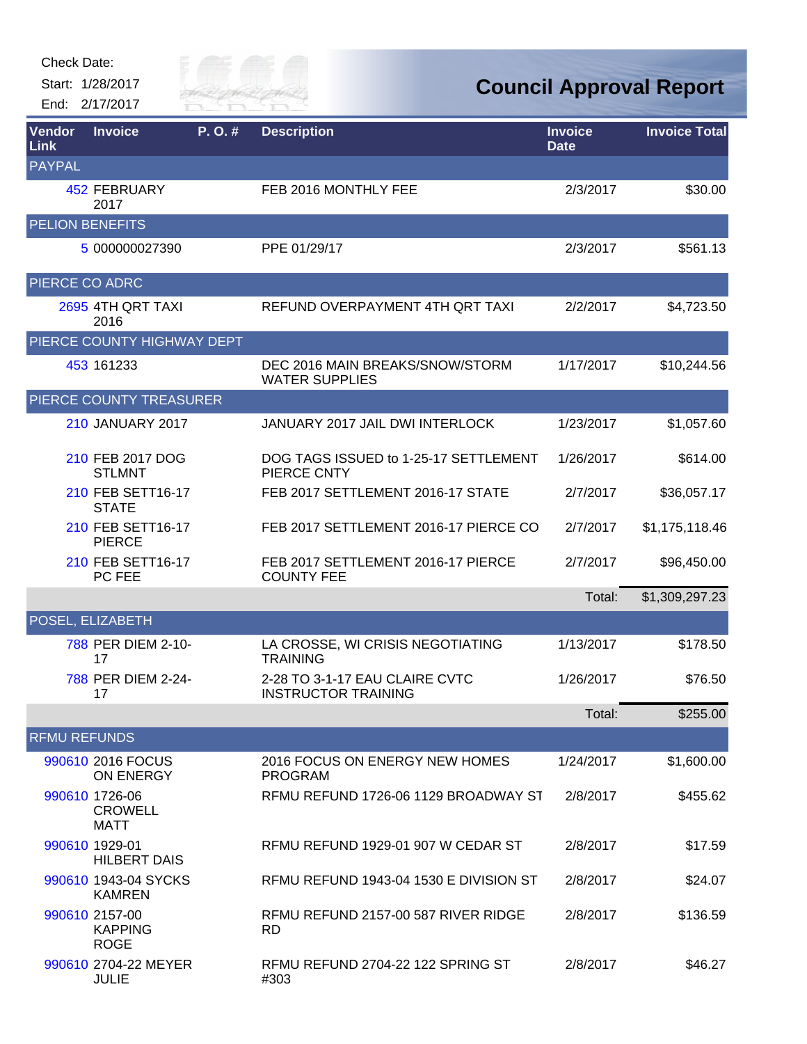| Check Date: |  |
|-------------|--|
|-------------|--|



| Vendor<br>Link         | <b>Invoice</b>                                  | P.O.# | <b>Description</b>                                           | <b>Invoice</b><br><b>Date</b> | <b>Invoice Total</b> |
|------------------------|-------------------------------------------------|-------|--------------------------------------------------------------|-------------------------------|----------------------|
| <b>PAYPAL</b>          |                                                 |       |                                                              |                               |                      |
|                        | 452 FEBRUARY<br>2017                            |       | FEB 2016 MONTHLY FEE                                         | 2/3/2017                      | \$30.00              |
| <b>PELION BENEFITS</b> |                                                 |       |                                                              |                               |                      |
|                        | 5 000000027390                                  |       | PPE 01/29/17                                                 | 2/3/2017                      | \$561.13             |
| PIERCE CO ADRC         |                                                 |       |                                                              |                               |                      |
|                        | 2695 4TH QRT TAXI<br>2016                       |       | REFUND OVERPAYMENT 4TH QRT TAXI                              | 2/2/2017                      | \$4,723.50           |
|                        | PIERCE COUNTY HIGHWAY DEPT                      |       |                                                              |                               |                      |
|                        | 453 161233                                      |       | DEC 2016 MAIN BREAKS/SNOW/STORM<br><b>WATER SUPPLIES</b>     | 1/17/2017                     | \$10,244.56          |
|                        | PIERCE COUNTY TREASURER                         |       |                                                              |                               |                      |
|                        | <b>210 JANUARY 2017</b>                         |       | JANUARY 2017 JAIL DWI INTERLOCK                              | 1/23/2017                     | \$1,057.60           |
|                        | 210 FEB 2017 DOG<br><b>STLMNT</b>               |       | DOG TAGS ISSUED to 1-25-17 SETTLEMENT<br>PIERCE CNTY         | 1/26/2017                     | \$614.00             |
|                        | 210 FEB SETT16-17<br><b>STATE</b>               |       | FEB 2017 SETTLEMENT 2016-17 STATE                            | 2/7/2017                      | \$36,057.17          |
|                        | 210 FEB SETT16-17<br><b>PIERCE</b>              |       | FEB 2017 SETTLEMENT 2016-17 PIERCE CO                        | 2/7/2017                      | \$1,175,118.46       |
|                        | 210 FEB SETT16-17<br>PC FEE                     |       | FEB 2017 SETTLEMENT 2016-17 PIERCE<br><b>COUNTY FEE</b>      | 2/7/2017                      | \$96,450.00          |
|                        |                                                 |       |                                                              | Total:                        | \$1,309,297.23       |
|                        | POSEL, ELIZABETH                                |       |                                                              |                               |                      |
|                        | 788 PER DIEM 2-10-<br>17                        |       | LA CROSSE, WI CRISIS NEGOTIATING<br><b>TRAINING</b>          | 1/13/2017                     | \$178.50             |
|                        | 788 PER DIEM 2-24-<br>17                        |       | 2-28 TO 3-1-17 EAU CLAIRE CVTC<br><b>INSTRUCTOR TRAINING</b> | 1/26/2017                     | \$76.50              |
|                        |                                                 |       |                                                              | Total:                        | \$255.00             |
| <b>RFMU REFUNDS</b>    |                                                 |       |                                                              |                               |                      |
|                        | 990610 2016 FOCUS<br>ON ENERGY                  |       | 2016 FOCUS ON ENERGY NEW HOMES<br><b>PROGRAM</b>             | 1/24/2017                     | \$1,600.00           |
|                        | 990610 1726-06<br><b>CROWELL</b><br><b>MATT</b> |       | RFMU REFUND 1726-06 1129 BROADWAY ST                         | 2/8/2017                      | \$455.62             |
|                        | 990610 1929-01<br><b>HILBERT DAIS</b>           |       | RFMU REFUND 1929-01 907 W CEDAR ST                           | 2/8/2017                      | \$17.59              |
|                        | 990610 1943-04 SYCKS<br><b>KAMREN</b>           |       | RFMU REFUND 1943-04 1530 E DIVISION ST                       | 2/8/2017                      | \$24.07              |
|                        | 990610 2157-00<br><b>KAPPING</b><br><b>ROGE</b> |       | RFMU REFUND 2157-00 587 RIVER RIDGE<br><b>RD</b>             | 2/8/2017                      | \$136.59             |
|                        | 990610 2704-22 MEYER<br><b>JULIE</b>            |       | RFMU REFUND 2704-22 122 SPRING ST<br>#303                    | 2/8/2017                      | \$46.27              |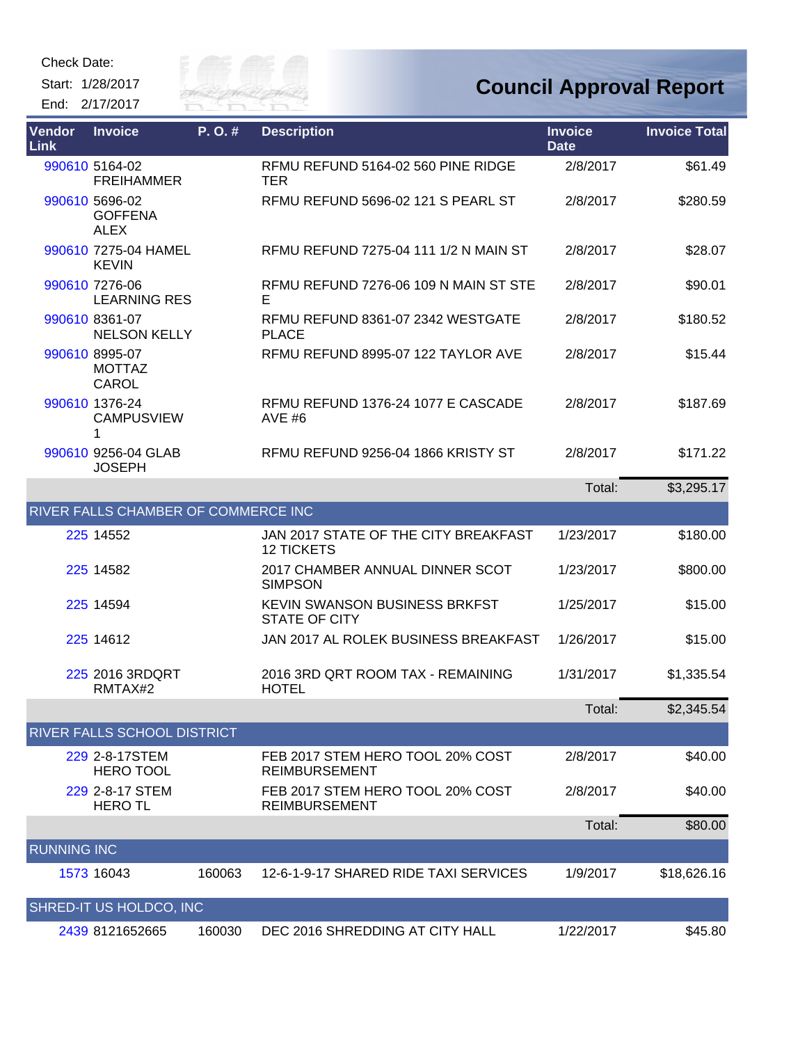

| Vendor<br><b>Link</b> | <b>Invoice</b>                                  | P.O.#  | <b>Description</b>                                        | <b>Invoice</b><br><b>Date</b> | <b>Invoice Total</b> |
|-----------------------|-------------------------------------------------|--------|-----------------------------------------------------------|-------------------------------|----------------------|
|                       | 990610 5164-02<br><b>FREIHAMMER</b>             |        | RFMU REFUND 5164-02 560 PINE RIDGE<br><b>TER</b>          | 2/8/2017                      | \$61.49              |
|                       | 990610 5696-02<br><b>GOFFENA</b><br><b>ALEX</b> |        | <b>RFMU REFUND 5696-02 121 S PEARL ST</b>                 | 2/8/2017                      | \$280.59             |
|                       | 990610 7275-04 HAMEL<br><b>KEVIN</b>            |        | RFMU REFUND 7275-04 111 1/2 N MAIN ST                     | 2/8/2017                      | \$28.07              |
|                       | 990610 7276-06<br><b>LEARNING RES</b>           |        | RFMU REFUND 7276-06 109 N MAIN ST STE<br>Е                | 2/8/2017                      | \$90.01              |
|                       | 990610 8361-07<br><b>NELSON KELLY</b>           |        | RFMU REFUND 8361-07 2342 WESTGATE<br><b>PLACE</b>         | 2/8/2017                      | \$180.52             |
|                       | 990610 8995-07<br><b>MOTTAZ</b><br><b>CAROL</b> |        | RFMU REFUND 8995-07 122 TAYLOR AVE                        | 2/8/2017                      | \$15.44              |
|                       | 990610 1376-24<br><b>CAMPUSVIEW</b><br>1        |        | RFMU REFUND 1376-24 1077 E CASCADE<br>AVE $#6$            | 2/8/2017                      | \$187.69             |
|                       | 990610 9256-04 GLAB<br><b>JOSEPH</b>            |        | RFMU REFUND 9256-04 1866 KRISTY ST                        | 2/8/2017                      | \$171.22             |
|                       |                                                 |        |                                                           | Total:                        | \$3,295.17           |
|                       | RIVER FALLS CHAMBER OF COMMERCE INC             |        |                                                           |                               |                      |
|                       | 225 14552                                       |        | JAN 2017 STATE OF THE CITY BREAKFAST<br><b>12 TICKETS</b> | 1/23/2017                     | \$180.00             |
|                       | 225 14582                                       |        | 2017 CHAMBER ANNUAL DINNER SCOT<br><b>SIMPSON</b>         | 1/23/2017                     | \$800.00             |
|                       | 225 14594                                       |        | KEVIN SWANSON BUSINESS BRKFST<br><b>STATE OF CITY</b>     | 1/25/2017                     | \$15.00              |
|                       | 225 14612                                       |        | JAN 2017 AL ROLEK BUSINESS BREAKFAST                      | 1/26/2017                     | \$15.00              |
|                       | 225 2016 3RDQRT<br>RMTAX#2                      |        | 2016 3RD QRT ROOM TAX - REMAINING<br><b>HOTEL</b>         | 1/31/2017                     | \$1,335.54           |
|                       |                                                 |        |                                                           | Total:                        | \$2,345.54           |
|                       | RIVER FALLS SCHOOL DISTRICT                     |        |                                                           |                               |                      |
|                       | 229 2-8-17STEM<br><b>HERO TOOL</b>              |        | FEB 2017 STEM HERO TOOL 20% COST<br><b>REIMBURSEMENT</b>  | 2/8/2017                      | \$40.00              |
|                       | 229 2-8-17 STEM<br><b>HERO TL</b>               |        | FEB 2017 STEM HERO TOOL 20% COST<br><b>REIMBURSEMENT</b>  | 2/8/2017                      | \$40.00              |
|                       |                                                 |        |                                                           | Total:                        | \$80.00              |
| <b>RUNNING INC</b>    |                                                 |        |                                                           |                               |                      |
|                       | 1573 16043                                      | 160063 | 12-6-1-9-17 SHARED RIDE TAXI SERVICES                     | 1/9/2017                      | \$18,626.16          |
|                       | SHRED-IT US HOLDCO, INC                         |        |                                                           |                               |                      |
|                       | 2439 8121652665                                 | 160030 | DEC 2016 SHREDDING AT CITY HALL                           | 1/22/2017                     | \$45.80              |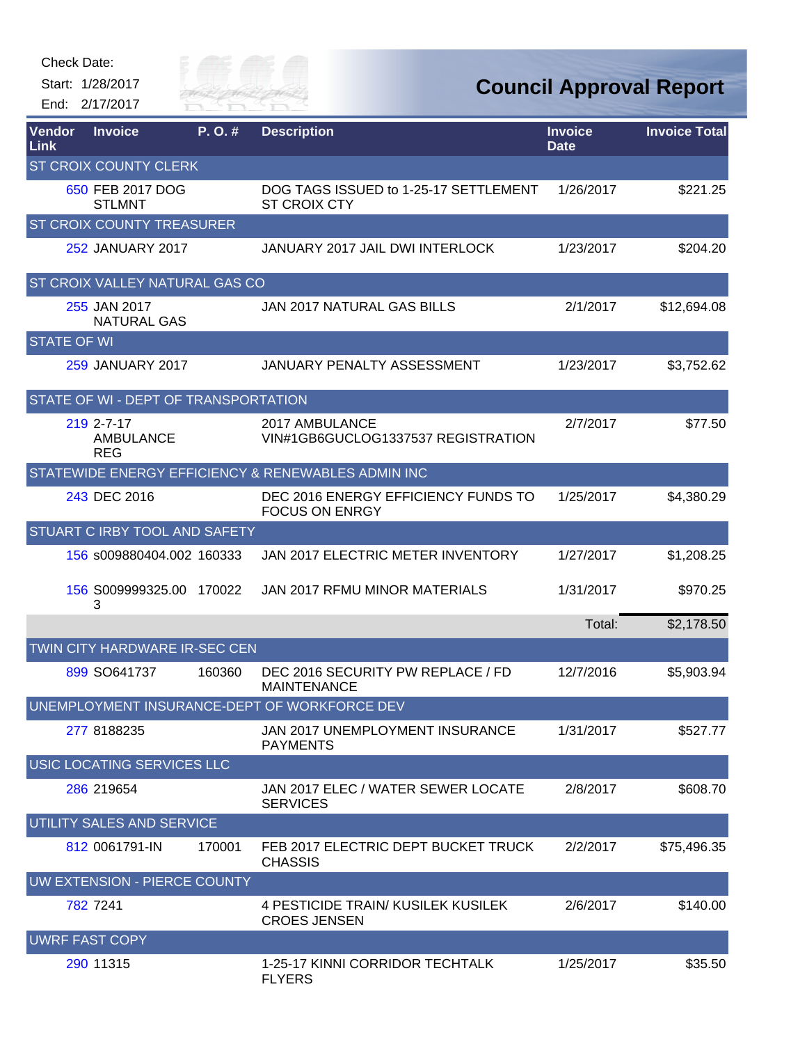

**Council Approval Report**

| Vendor<br>Link        | <b>Invoice</b>                               | P. O.# | <b>Description</b>                                           | <b>Invoice</b><br><b>Date</b> | <b>Invoice Total</b> |
|-----------------------|----------------------------------------------|--------|--------------------------------------------------------------|-------------------------------|----------------------|
|                       | <b>ST CROIX COUNTY CLERK</b>                 |        |                                                              |                               |                      |
|                       | 650 FEB 2017 DOG<br><b>STLMNT</b>            |        | DOG TAGS ISSUED to 1-25-17 SETTLEMENT<br><b>ST CROIX CTY</b> | 1/26/2017                     | \$221.25             |
|                       | <b>ST CROIX COUNTY TREASURER</b>             |        |                                                              |                               |                      |
|                       | 252 JANUARY 2017                             |        | JANUARY 2017 JAIL DWI INTERLOCK                              | 1/23/2017                     | \$204.20             |
|                       | <b>ST CROIX VALLEY NATURAL GAS CO</b>        |        |                                                              |                               |                      |
|                       | 255 JAN 2017<br><b>NATURAL GAS</b>           |        | <b>JAN 2017 NATURAL GAS BILLS</b>                            | 2/1/2017                      | \$12,694.08          |
| <b>STATE OF WI</b>    |                                              |        |                                                              |                               |                      |
|                       | 259 JANUARY 2017                             |        | <b>JANUARY PENALTY ASSESSMENT</b>                            | 1/23/2017                     | \$3,752.62           |
|                       | STATE OF WI - DEPT OF TRANSPORTATION         |        |                                                              |                               |                      |
|                       | 219 2-7-17<br><b>AMBULANCE</b><br><b>REG</b> |        | 2017 AMBULANCE<br>VIN#1GB6GUCLOG1337537 REGISTRATION         | 2/7/2017                      | \$77.50              |
|                       |                                              |        | STATEWIDE ENERGY EFFICIENCY & RENEWABLES ADMIN INC           |                               |                      |
|                       | 243 DEC 2016                                 |        | DEC 2016 ENERGY EFFICIENCY FUNDS TO<br><b>FOCUS ON ENRGY</b> | 1/25/2017                     | \$4,380.29           |
|                       | <b>STUART C IRBY TOOL AND SAFETY</b>         |        |                                                              |                               |                      |
|                       | 156 s009880404.002 160333                    |        | JAN 2017 ELECTRIC METER INVENTORY                            | 1/27/2017                     | \$1,208.25           |
|                       | 156 S009999325.00 170022<br>3                |        | JAN 2017 RFMU MINOR MATERIALS                                | 1/31/2017                     | \$970.25             |
|                       |                                              |        |                                                              | Total:                        | \$2,178.50           |
|                       | TWIN CITY HARDWARE IR-SEC CEN                |        |                                                              |                               |                      |
|                       | 899 SO641737                                 | 160360 | DEC 2016 SECURITY PW REPLACE / FD<br><b>MAINTENANCE</b>      | 12/7/2016                     | \$5,903.94           |
|                       |                                              |        | UNEMPLOYMENT INSURANCE-DEPT OF WORKFORCE DEV                 |                               |                      |
|                       | 277 8188235                                  |        | JAN 2017 UNEMPLOYMENT INSURANCE<br><b>PAYMENTS</b>           | 1/31/2017                     | \$527.77             |
|                       | USIC LOCATING SERVICES LLC                   |        |                                                              |                               |                      |
|                       | 286 219654                                   |        | JAN 2017 ELEC / WATER SEWER LOCATE<br><b>SERVICES</b>        | 2/8/2017                      | \$608.70             |
|                       | <b>UTILITY SALES AND SERVICE</b>             |        |                                                              |                               |                      |
|                       | 812 0061791-IN                               | 170001 | FEB 2017 ELECTRIC DEPT BUCKET TRUCK<br><b>CHASSIS</b>        | 2/2/2017                      | \$75,496.35          |
|                       | UW EXTENSION - PIERCE COUNTY                 |        |                                                              |                               |                      |
|                       | 782 7241                                     |        | 4 PESTICIDE TRAIN/ KUSILEK KUSILEK<br><b>CROES JENSEN</b>    | 2/6/2017                      | \$140.00             |
| <b>UWRF FAST COPY</b> |                                              |        |                                                              |                               |                      |
|                       | 290 11315                                    |        | 1-25-17 KINNI CORRIDOR TECHTALK<br><b>FLYERS</b>             | 1/25/2017                     | \$35.50              |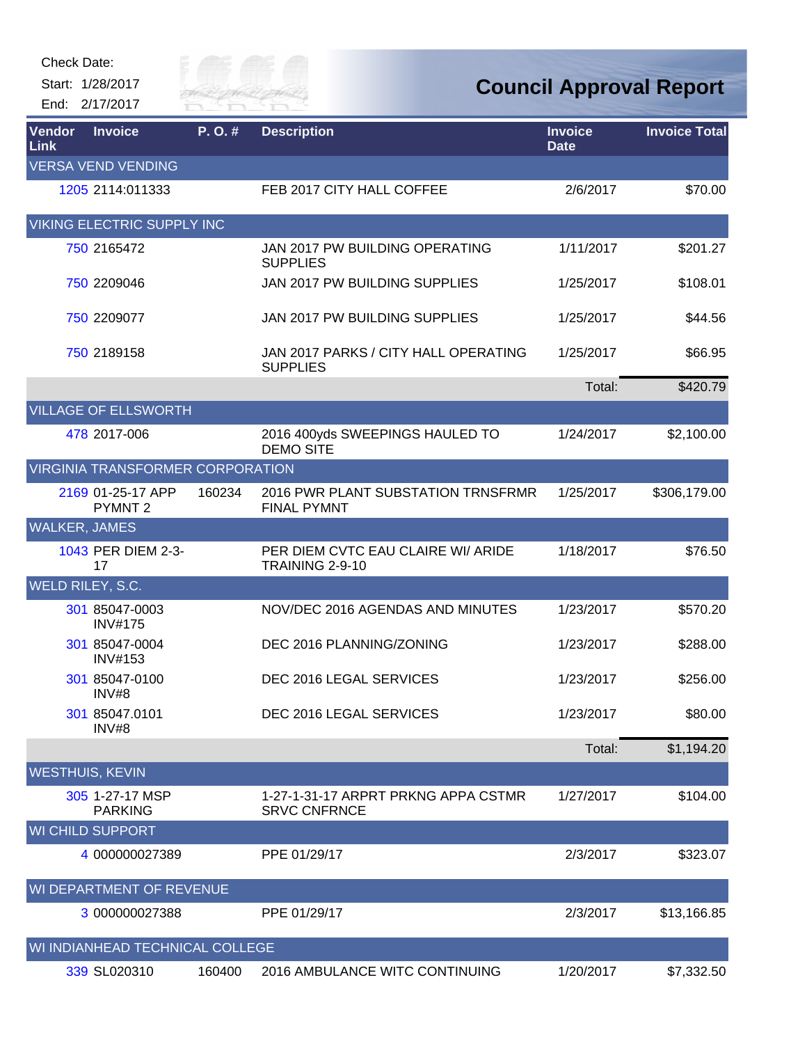

| Vendor<br>Link         | <b>Invoice</b>                          | P.O.#  | <b>Description</b>                                         | <b>Invoice</b><br><b>Date</b> | <b>Invoice Total</b> |
|------------------------|-----------------------------------------|--------|------------------------------------------------------------|-------------------------------|----------------------|
|                        | <b>VERSA VEND VENDING</b>               |        |                                                            |                               |                      |
|                        | 1205 2114:011333                        |        | FEB 2017 CITY HALL COFFEE                                  | 2/6/2017                      | \$70.00              |
|                        | <b>VIKING ELECTRIC SUPPLY INC</b>       |        |                                                            |                               |                      |
|                        | 750 2165472                             |        | JAN 2017 PW BUILDING OPERATING<br><b>SUPPLIES</b>          | 1/11/2017                     | \$201.27             |
|                        | 750 2209046                             |        | JAN 2017 PW BUILDING SUPPLIES                              | 1/25/2017                     | \$108.01             |
|                        | 750 2209077                             |        | JAN 2017 PW BUILDING SUPPLIES                              | 1/25/2017                     | \$44.56              |
|                        | 750 2189158                             |        | JAN 2017 PARKS / CITY HALL OPERATING<br><b>SUPPLIES</b>    | 1/25/2017                     | \$66.95              |
|                        |                                         |        |                                                            | Total:                        | \$420.79             |
|                        | <b>VILLAGE OF ELLSWORTH</b>             |        |                                                            |                               |                      |
|                        | 478 2017-006                            |        | 2016 400yds SWEEPINGS HAULED TO<br><b>DEMO SITE</b>        | 1/24/2017                     | \$2,100.00           |
|                        | <b>VIRGINIA TRANSFORMER CORPORATION</b> |        |                                                            |                               |                      |
|                        | 2169 01-25-17 APP<br>PYMNT <sub>2</sub> | 160234 | 2016 PWR PLANT SUBSTATION TRNSFRMR<br><b>FINAL PYMNT</b>   | 1/25/2017                     | \$306,179.00         |
| <b>WALKER, JAMES</b>   |                                         |        |                                                            |                               |                      |
|                        | 1043 PER DIEM 2-3-<br>17                |        | PER DIEM CVTC EAU CLAIRE WI/ ARIDE<br>TRAINING 2-9-10      | 1/18/2017                     | \$76.50              |
| WELD RILEY, S.C.       |                                         |        |                                                            |                               |                      |
|                        | 301 85047-0003<br><b>INV#175</b>        |        | NOV/DEC 2016 AGENDAS AND MINUTES                           | 1/23/2017                     | \$570.20             |
|                        | 301 85047-0004<br><b>INV#153</b>        |        | DEC 2016 PLANNING/ZONING                                   | 1/23/2017                     | \$288.00             |
|                        | 301 85047-0100<br>INV#8                 |        | DEC 2016 LEGAL SERVICES                                    | 1/23/2017                     | \$256.00             |
|                        | 301 85047.0101<br>INV#8                 |        | DEC 2016 LEGAL SERVICES                                    | 1/23/2017                     | \$80.00              |
|                        |                                         |        |                                                            | Total:                        | \$1,194.20           |
| <b>WESTHUIS, KEVIN</b> |                                         |        |                                                            |                               |                      |
|                        | 305 1-27-17 MSP<br><b>PARKING</b>       |        | 1-27-1-31-17 ARPRT PRKNG APPA CSTMR<br><b>SRVC CNFRNCE</b> | 1/27/2017                     | \$104.00             |
|                        | <b>WI CHILD SUPPORT</b>                 |        |                                                            |                               |                      |
|                        | 4 000000027389                          |        | PPE 01/29/17                                               | 2/3/2017                      | \$323.07             |
|                        | WI DEPARTMENT OF REVENUE                |        |                                                            |                               |                      |
|                        | 3 000000027388                          |        | PPE 01/29/17                                               | 2/3/2017                      | \$13,166.85          |
|                        | WI INDIANHEAD TECHNICAL COLLEGE         |        |                                                            |                               |                      |
|                        | 339 SL020310                            | 160400 | 2016 AMBULANCE WITC CONTINUING                             | 1/20/2017                     | \$7,332.50           |